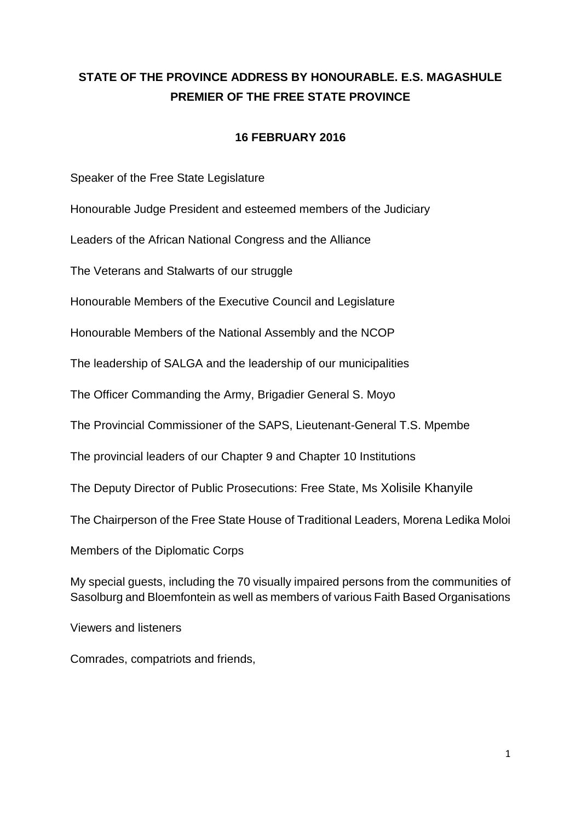## **STATE OF THE PROVINCE ADDRESS BY HONOURABLE. E.S. MAGASHULE PREMIER OF THE FREE STATE PROVINCE**

#### **16 FEBRUARY 2016**

Speaker of the Free State Legislature

Honourable Judge President and esteemed members of the Judiciary

Leaders of the African National Congress and the Alliance

The Veterans and Stalwarts of our struggle

Honourable Members of the Executive Council and Legislature

Honourable Members of the National Assembly and the NCOP

The leadership of SALGA and the leadership of our municipalities

The Officer Commanding the Army, Brigadier General S. Moyo

The Provincial Commissioner of the SAPS, Lieutenant-General T.S. Mpembe

The provincial leaders of our Chapter 9 and Chapter 10 Institutions

The Deputy Director of Public Prosecutions: Free State, Ms Xolisile Khanyile

The Chairperson of the Free State House of Traditional Leaders, Morena Ledika Moloi

Members of the Diplomatic Corps

My special guests, including the 70 visually impaired persons from the communities of Sasolburg and Bloemfontein as well as members of various Faith Based Organisations

Viewers and listeners

Comrades, compatriots and friends,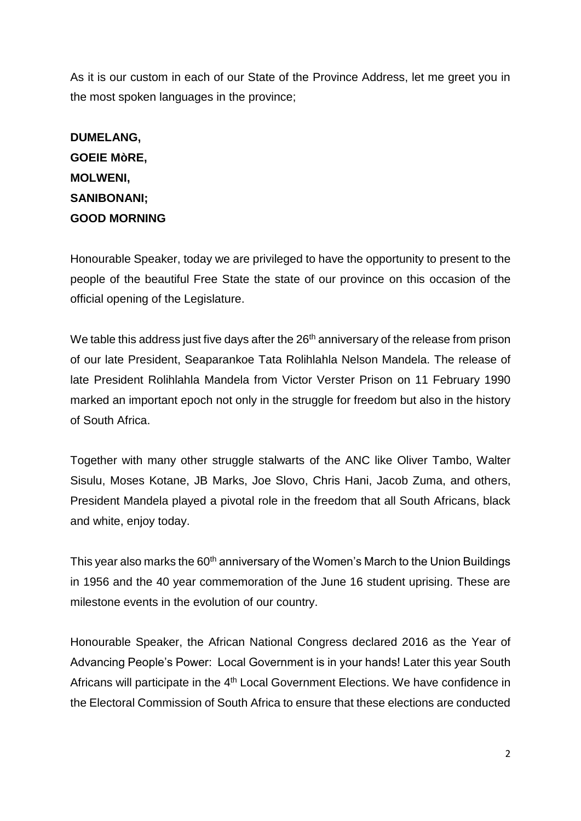As it is our custom in each of our State of the Province Address, let me greet you in the most spoken languages in the province;

# **DUMELANG, GOEIE MòRE, MOLWENI, SANIBONANI; GOOD MORNING**

Honourable Speaker, today we are privileged to have the opportunity to present to the people of the beautiful Free State the state of our province on this occasion of the official opening of the Legislature.

We table this address just five days after the  $26<sup>th</sup>$  anniversary of the release from prison of our late President, Seaparankoe Tata Rolihlahla Nelson Mandela. The release of late President Rolihlahla Mandela from Victor Verster Prison on 11 February 1990 marked an important epoch not only in the struggle for freedom but also in the history of South Africa.

Together with many other struggle stalwarts of the ANC like Oliver Tambo, Walter Sisulu, Moses Kotane, JB Marks, Joe Slovo, Chris Hani, Jacob Zuma, and others, President Mandela played a pivotal role in the freedom that all South Africans, black and white, enjoy today.

This year also marks the 60<sup>th</sup> anniversary of the Women's March to the Union Buildings in 1956 and the 40 year commemoration of the June 16 student uprising. These are milestone events in the evolution of our country.

Honourable Speaker, the African National Congress declared 2016 as the Year of Advancing People's Power: Local Government is in your hands! Later this year South Africans will participate in the 4<sup>th</sup> Local Government Elections. We have confidence in the Electoral Commission of South Africa to ensure that these elections are conducted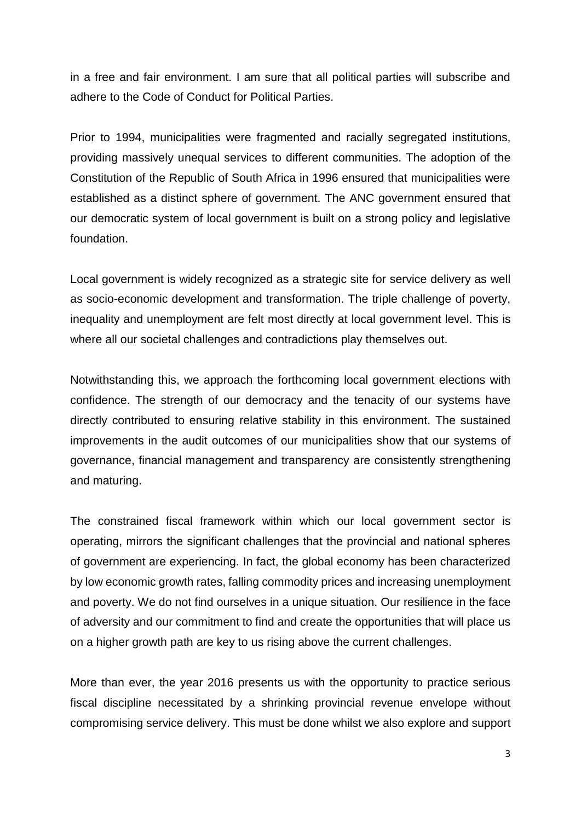in a free and fair environment. I am sure that all political parties will subscribe and adhere to the Code of Conduct for Political Parties.

Prior to 1994, municipalities were fragmented and racially segregated institutions, providing massively unequal services to different communities. The adoption of the Constitution of the Republic of South Africa in 1996 ensured that municipalities were established as a distinct sphere of government. The ANC government ensured that our democratic system of local government is built on a strong policy and legislative foundation.

Local government is widely recognized as a strategic site for service delivery as well as socio-economic development and transformation. The triple challenge of poverty, inequality and unemployment are felt most directly at local government level. This is where all our societal challenges and contradictions play themselves out.

Notwithstanding this, we approach the forthcoming local government elections with confidence. The strength of our democracy and the tenacity of our systems have directly contributed to ensuring relative stability in this environment. The sustained improvements in the audit outcomes of our municipalities show that our systems of governance, financial management and transparency are consistently strengthening and maturing.

The constrained fiscal framework within which our local government sector is operating, mirrors the significant challenges that the provincial and national spheres of government are experiencing. In fact, the global economy has been characterized by low economic growth rates, falling commodity prices and increasing unemployment and poverty. We do not find ourselves in a unique situation. Our resilience in the face of adversity and our commitment to find and create the opportunities that will place us on a higher growth path are key to us rising above the current challenges.

More than ever, the year 2016 presents us with the opportunity to practice serious fiscal discipline necessitated by a shrinking provincial revenue envelope without compromising service delivery. This must be done whilst we also explore and support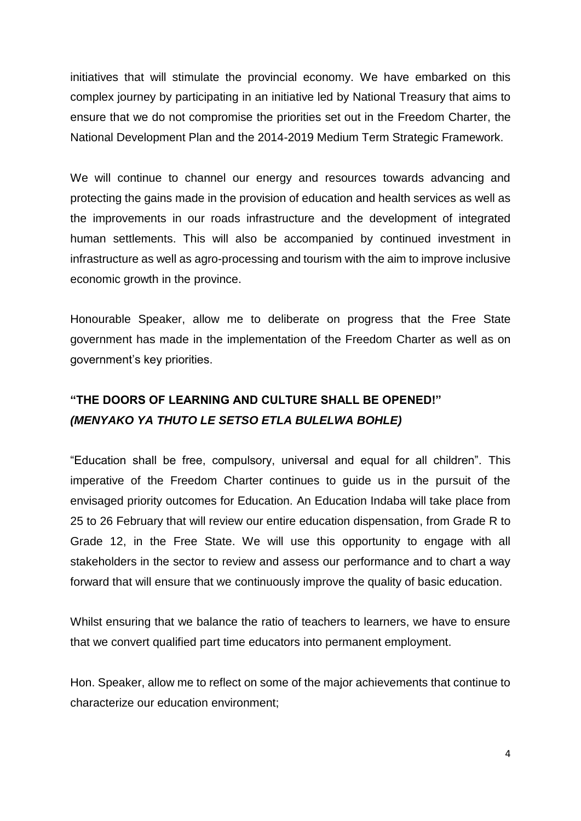initiatives that will stimulate the provincial economy. We have embarked on this complex journey by participating in an initiative led by National Treasury that aims to ensure that we do not compromise the priorities set out in the Freedom Charter, the National Development Plan and the 2014-2019 Medium Term Strategic Framework.

We will continue to channel our energy and resources towards advancing and protecting the gains made in the provision of education and health services as well as the improvements in our roads infrastructure and the development of integrated human settlements. This will also be accompanied by continued investment in infrastructure as well as agro-processing and tourism with the aim to improve inclusive economic growth in the province.

Honourable Speaker, allow me to deliberate on progress that the Free State government has made in the implementation of the Freedom Charter as well as on government's key priorities.

## **"THE DOORS OF LEARNING AND CULTURE SHALL BE OPENED!"** *(MENYAKO YA THUTO LE SETSO ETLA BULELWA BOHLE)*

"Education shall be free, compulsory, universal and equal for all children". This imperative of the Freedom Charter continues to guide us in the pursuit of the envisaged priority outcomes for Education. An Education Indaba will take place from 25 to 26 February that will review our entire education dispensation, from Grade R to Grade 12, in the Free State. We will use this opportunity to engage with all stakeholders in the sector to review and assess our performance and to chart a way forward that will ensure that we continuously improve the quality of basic education.

Whilst ensuring that we balance the ratio of teachers to learners, we have to ensure that we convert qualified part time educators into permanent employment.

Hon. Speaker, allow me to reflect on some of the major achievements that continue to characterize our education environment;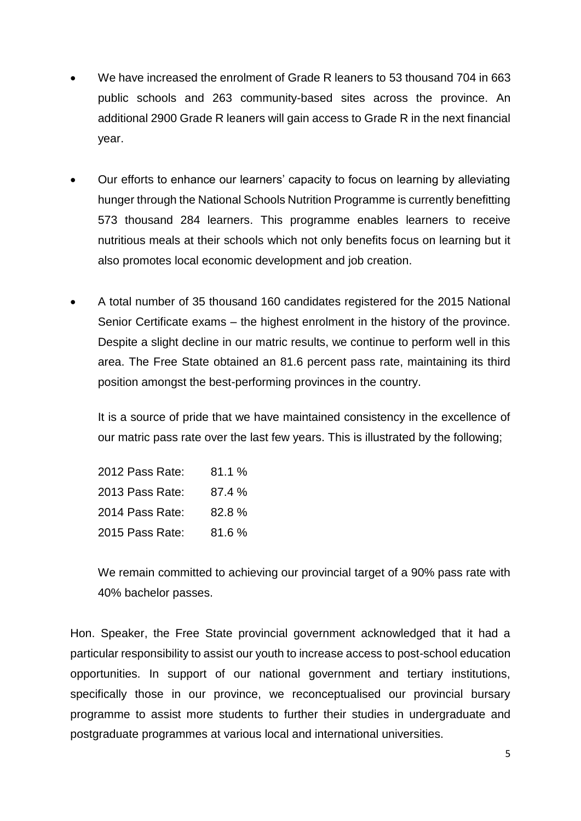- We have increased the enrolment of Grade R leaners to 53 thousand 704 in 663 public schools and 263 community-based sites across the province. An additional 2900 Grade R leaners will gain access to Grade R in the next financial year.
- Our efforts to enhance our learners' capacity to focus on learning by alleviating hunger through the National Schools Nutrition Programme is currently benefitting 573 thousand 284 learners. This programme enables learners to receive nutritious meals at their schools which not only benefits focus on learning but it also promotes local economic development and job creation.
- A total number of 35 thousand 160 candidates registered for the 2015 National Senior Certificate exams – the highest enrolment in the history of the province. Despite a slight decline in our matric results, we continue to perform well in this area. The Free State obtained an 81.6 percent pass rate, maintaining its third position amongst the best-performing provinces in the country.

It is a source of pride that we have maintained consistency in the excellence of our matric pass rate over the last few years. This is illustrated by the following;

2012 Pass Rate: 81.1 % 2013 Pass Rate: 87.4 % 2014 Pass Rate: 82.8 % 2015 Pass Rate: 81.6 %

We remain committed to achieving our provincial target of a 90% pass rate with 40% bachelor passes.

Hon. Speaker, the Free State provincial government acknowledged that it had a particular responsibility to assist our youth to increase access to post-school education opportunities. In support of our national government and tertiary institutions, specifically those in our province, we reconceptualised our provincial bursary programme to assist more students to further their studies in undergraduate and postgraduate programmes at various local and international universities.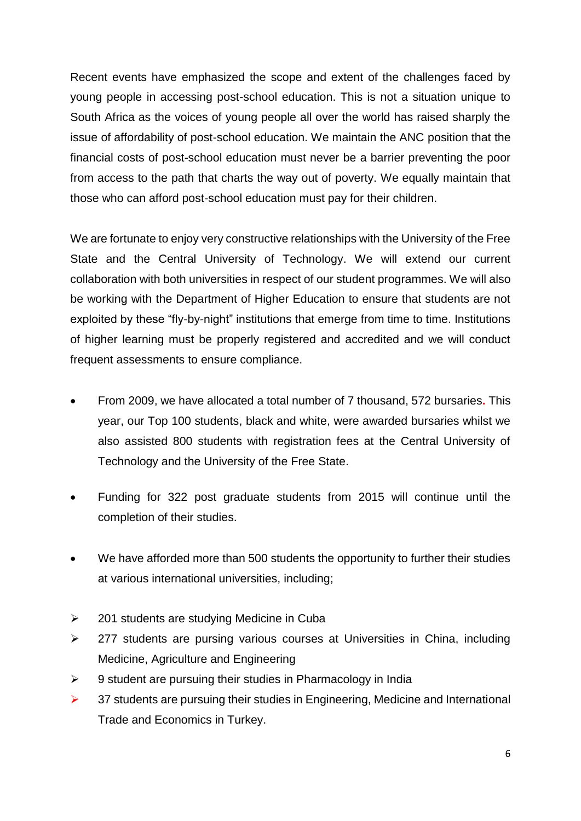Recent events have emphasized the scope and extent of the challenges faced by young people in accessing post-school education. This is not a situation unique to South Africa as the voices of young people all over the world has raised sharply the issue of affordability of post-school education. We maintain the ANC position that the financial costs of post-school education must never be a barrier preventing the poor from access to the path that charts the way out of poverty. We equally maintain that those who can afford post-school education must pay for their children.

We are fortunate to enjoy very constructive relationships with the University of the Free State and the Central University of Technology. We will extend our current collaboration with both universities in respect of our student programmes. We will also be working with the Department of Higher Education to ensure that students are not exploited by these "fly-by-night" institutions that emerge from time to time. Institutions of higher learning must be properly registered and accredited and we will conduct frequent assessments to ensure compliance.

- From 2009, we have allocated a total number of 7 thousand, 572 bursaries**.** This year, our Top 100 students, black and white, were awarded bursaries whilst we also assisted 800 students with registration fees at the Central University of Technology and the University of the Free State.
- Funding for 322 post graduate students from 2015 will continue until the completion of their studies.
- We have afforded more than 500 students the opportunity to further their studies at various international universities, including;
- $\geq$  201 students are studying Medicine in Cuba
- $\geq$  277 students are pursing various courses at Universities in China, including Medicine, Agriculture and Engineering
- $\geq$  9 student are pursuing their studies in Pharmacology in India
- $\triangleright$  37 students are pursuing their studies in Engineering, Medicine and International Trade and Economics in Turkey.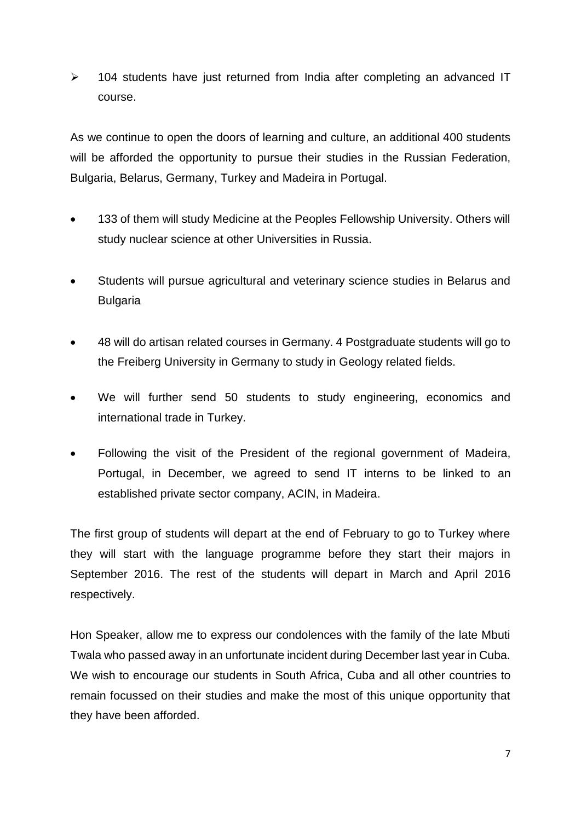$\ge$  104 students have just returned from India after completing an advanced IT course.

As we continue to open the doors of learning and culture, an additional 400 students will be afforded the opportunity to pursue their studies in the Russian Federation, Bulgaria, Belarus, Germany, Turkey and Madeira in Portugal.

- 133 of them will study Medicine at the Peoples Fellowship University. Others will study nuclear science at other Universities in Russia.
- Students will pursue agricultural and veterinary science studies in Belarus and **Bulgaria**
- 48 will do artisan related courses in Germany. 4 Postgraduate students will go to the Freiberg University in Germany to study in Geology related fields.
- We will further send 50 students to study engineering, economics and international trade in Turkey.
- Following the visit of the President of the regional government of Madeira, Portugal, in December, we agreed to send IT interns to be linked to an established private sector company, ACIN, in Madeira.

The first group of students will depart at the end of February to go to Turkey where they will start with the language programme before they start their majors in September 2016. The rest of the students will depart in March and April 2016 respectively.

Hon Speaker, allow me to express our condolences with the family of the late Mbuti Twala who passed away in an unfortunate incident during December last year in Cuba. We wish to encourage our students in South Africa, Cuba and all other countries to remain focussed on their studies and make the most of this unique opportunity that they have been afforded.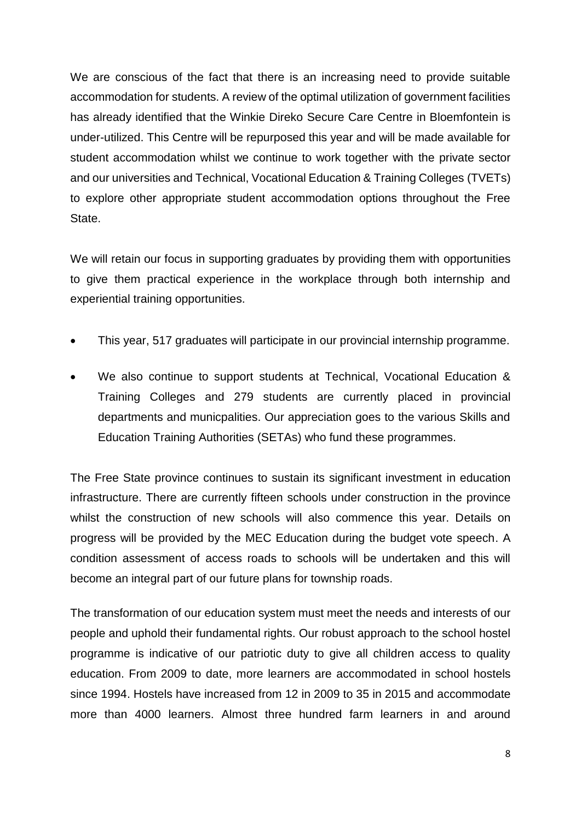We are conscious of the fact that there is an increasing need to provide suitable accommodation for students. A review of the optimal utilization of government facilities has already identified that the Winkie Direko Secure Care Centre in Bloemfontein is under-utilized. This Centre will be repurposed this year and will be made available for student accommodation whilst we continue to work together with the private sector and our universities and Technical, Vocational Education & Training Colleges (TVETs) to explore other appropriate student accommodation options throughout the Free State.

We will retain our focus in supporting graduates by providing them with opportunities to give them practical experience in the workplace through both internship and experiential training opportunities.

- This year, 517 graduates will participate in our provincial internship programme.
- We also continue to support students at Technical, Vocational Education & Training Colleges and 279 students are currently placed in provincial departments and municpalities. Our appreciation goes to the various Skills and Education Training Authorities (SETAs) who fund these programmes.

The Free State province continues to sustain its significant investment in education infrastructure. There are currently fifteen schools under construction in the province whilst the construction of new schools will also commence this year. Details on progress will be provided by the MEC Education during the budget vote speech. A condition assessment of access roads to schools will be undertaken and this will become an integral part of our future plans for township roads.

The transformation of our education system must meet the needs and interests of our people and uphold their fundamental rights. Our robust approach to the school hostel programme is indicative of our patriotic duty to give all children access to quality education. From 2009 to date, more learners are accommodated in school hostels since 1994. Hostels have increased from 12 in 2009 to 35 in 2015 and accommodate more than 4000 learners. Almost three hundred farm learners in and around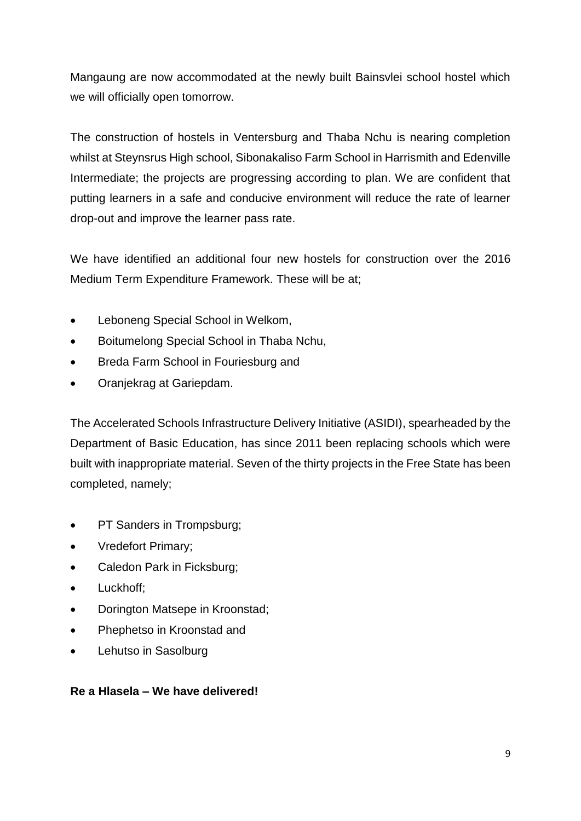Mangaung are now accommodated at the newly built Bainsvlei school hostel which we will officially open tomorrow.

The construction of hostels in Ventersburg and Thaba Nchu is nearing completion whilst at Steynsrus High school, Sibonakaliso Farm School in Harrismith and Edenville Intermediate; the projects are progressing according to plan. We are confident that putting learners in a safe and conducive environment will reduce the rate of learner drop-out and improve the learner pass rate.

We have identified an additional four new hostels for construction over the 2016 Medium Term Expenditure Framework. These will be at;

- Leboneng Special School in Welkom,
- Boitumelong Special School in Thaba Nchu,
- Breda Farm School in Fouriesburg and
- Oranjekrag at Gariepdam.

The Accelerated Schools Infrastructure Delivery Initiative (ASIDI), spearheaded by the Department of Basic Education, has since 2011 been replacing schools which were built with inappropriate material. Seven of the thirty projects in the Free State has been completed, namely;

- PT Sanders in Trompsburg;
- Vredefort Primary;
- Caledon Park in Ficksburg;
- Luckhoff;
- Dorington Matsepe in Kroonstad;
- Phephetso in Kroonstad and
- Lehutso in Sasolburg

#### **Re a Hlasela – We have delivered!**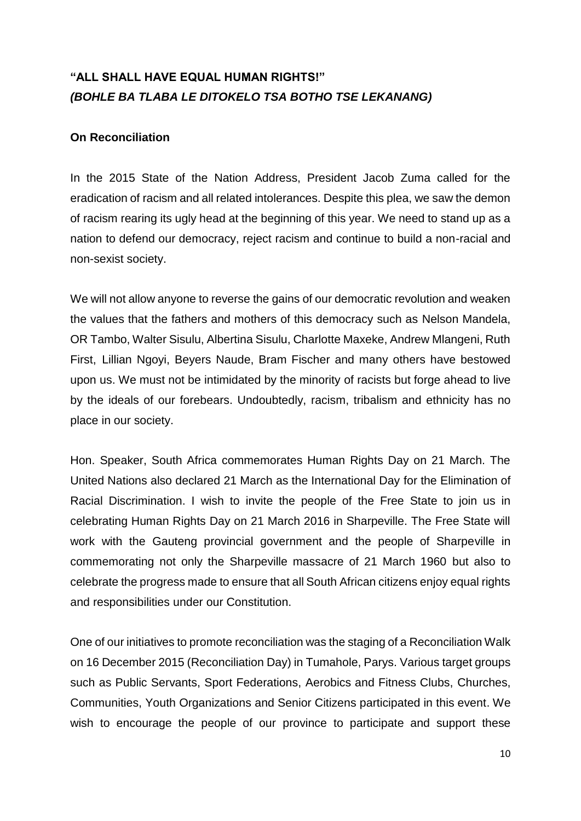## **"ALL SHALL HAVE EQUAL HUMAN RIGHTS!"** *(BOHLE BA TLABA LE DITOKELO TSA BOTHO TSE LEKANANG)*

#### **On Reconciliation**

In the 2015 State of the Nation Address, President Jacob Zuma called for the eradication of racism and all related intolerances. Despite this plea, we saw the demon of racism rearing its ugly head at the beginning of this year. We need to stand up as a nation to defend our democracy, reject racism and continue to build a non-racial and non-sexist society.

We will not allow anyone to reverse the gains of our democratic revolution and weaken the values that the fathers and mothers of this democracy such as Nelson Mandela, OR Tambo, Walter Sisulu, Albertina Sisulu, Charlotte Maxeke, Andrew Mlangeni, Ruth First, Lillian Ngoyi, Beyers Naude, Bram Fischer and many others have bestowed upon us. We must not be intimidated by the minority of racists but forge ahead to live by the ideals of our forebears. Undoubtedly, racism, tribalism and ethnicity has no place in our society.

Hon. Speaker, South Africa commemorates Human Rights Day on 21 March. The United Nations also declared 21 March as the International Day for the Elimination of Racial Discrimination. I wish to invite the people of the Free State to join us in celebrating Human Rights Day on 21 March 2016 in Sharpeville. The Free State will work with the Gauteng provincial government and the people of Sharpeville in commemorating not only the Sharpeville massacre of 21 March 1960 but also to celebrate the progress made to ensure that all South African citizens enjoy equal rights and responsibilities under our Constitution.

One of our initiatives to promote reconciliation was the staging of a Reconciliation Walk on 16 December 2015 (Reconciliation Day) in Tumahole, Parys. Various target groups such as Public Servants, Sport Federations, Aerobics and Fitness Clubs, Churches, Communities, Youth Organizations and Senior Citizens participated in this event. We wish to encourage the people of our province to participate and support these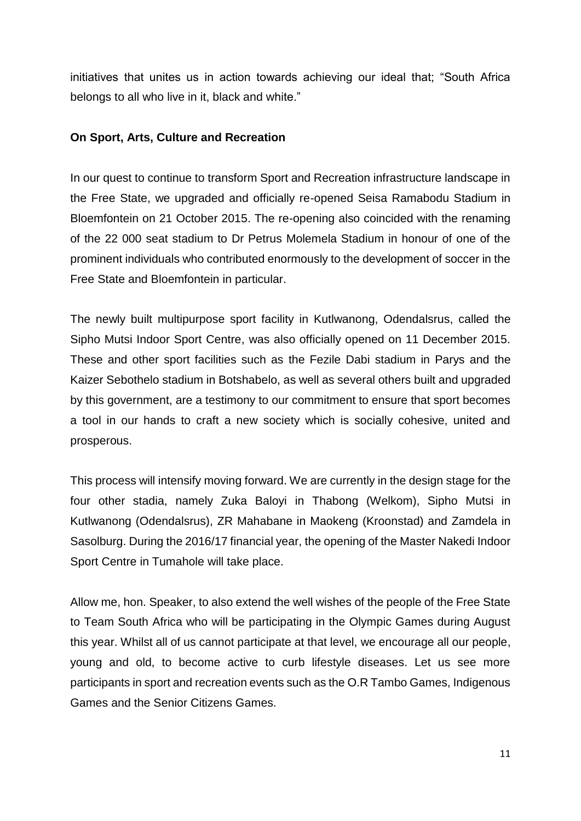initiatives that unites us in action towards achieving our ideal that; "South Africa belongs to all who live in it, black and white."

#### **On Sport, Arts, Culture and Recreation**

In our quest to continue to transform Sport and Recreation infrastructure landscape in the Free State, we upgraded and officially re-opened Seisa Ramabodu Stadium in Bloemfontein on 21 October 2015. The re-opening also coincided with the renaming of the 22 000 seat stadium to Dr Petrus Molemela Stadium in honour of one of the prominent individuals who contributed enormously to the development of soccer in the Free State and Bloemfontein in particular.

The newly built multipurpose sport facility in Kutlwanong, Odendalsrus, called the Sipho Mutsi Indoor Sport Centre, was also officially opened on 11 December 2015. These and other sport facilities such as the Fezile Dabi stadium in Parys and the Kaizer Sebothelo stadium in Botshabelo, as well as several others built and upgraded by this government, are a testimony to our commitment to ensure that sport becomes a tool in our hands to craft a new society which is socially cohesive, united and prosperous.

This process will intensify moving forward. We are currently in the design stage for the four other stadia, namely Zuka Baloyi in Thabong (Welkom), Sipho Mutsi in Kutlwanong (Odendalsrus), ZR Mahabane in Maokeng (Kroonstad) and Zamdela in Sasolburg. During the 2016/17 financial year, the opening of the Master Nakedi Indoor Sport Centre in Tumahole will take place.

Allow me, hon. Speaker, to also extend the well wishes of the people of the Free State to Team South Africa who will be participating in the Olympic Games during August this year. Whilst all of us cannot participate at that level, we encourage all our people, young and old, to become active to curb lifestyle diseases. Let us see more participants in sport and recreation events such as the O.R Tambo Games, Indigenous Games and the Senior Citizens Games.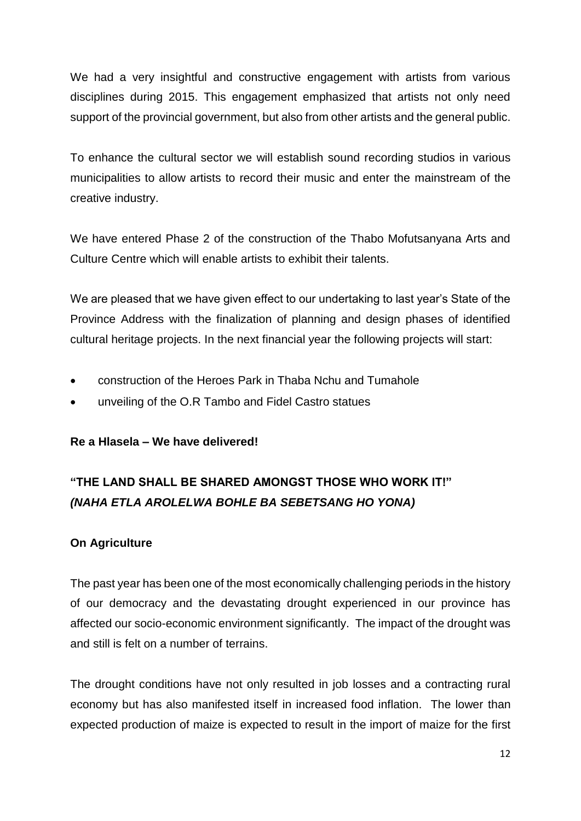We had a very insightful and constructive engagement with artists from various disciplines during 2015. This engagement emphasized that artists not only need support of the provincial government, but also from other artists and the general public.

To enhance the cultural sector we will establish sound recording studios in various municipalities to allow artists to record their music and enter the mainstream of the creative industry.

We have entered Phase 2 of the construction of the Thabo Mofutsanyana Arts and Culture Centre which will enable artists to exhibit their talents.

We are pleased that we have given effect to our undertaking to last year's State of the Province Address with the finalization of planning and design phases of identified cultural heritage projects. In the next financial year the following projects will start:

- construction of the Heroes Park in Thaba Nchu and Tumahole
- unveiling of the O.R Tambo and Fidel Castro statues

#### **Re a Hlasela – We have delivered!**

# **"THE LAND SHALL BE SHARED AMONGST THOSE WHO WORK IT!"** *(NAHA ETLA AROLELWA BOHLE BA SEBETSANG HO YONA)*

#### **On Agriculture**

The past year has been one of the most economically challenging periods in the history of our democracy and the devastating drought experienced in our province has affected our socio-economic environment significantly. The impact of the drought was and still is felt on a number of terrains.

The drought conditions have not only resulted in job losses and a contracting rural economy but has also manifested itself in increased food inflation. The lower than expected production of maize is expected to result in the import of maize for the first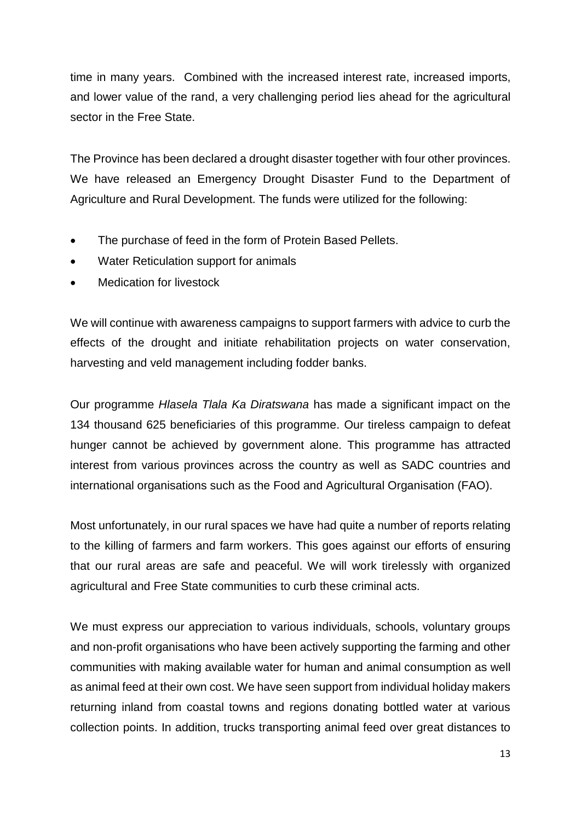time in many years. Combined with the increased interest rate, increased imports, and lower value of the rand, a very challenging period lies ahead for the agricultural sector in the Free State.

The Province has been declared a drought disaster together with four other provinces. We have released an Emergency Drought Disaster Fund to the Department of Agriculture and Rural Development. The funds were utilized for the following:

- The purchase of feed in the form of Protein Based Pellets.
- Water Reticulation support for animals
- Medication for livestock

We will continue with awareness campaigns to support farmers with advice to curb the effects of the drought and initiate rehabilitation projects on water conservation, harvesting and veld management including fodder banks.

Our programme *Hlasela Tlala Ka Diratswana* has made a significant impact on the 134 thousand 625 beneficiaries of this programme. Our tireless campaign to defeat hunger cannot be achieved by government alone. This programme has attracted interest from various provinces across the country as well as SADC countries and international organisations such as the Food and Agricultural Organisation (FAO).

Most unfortunately, in our rural spaces we have had quite a number of reports relating to the killing of farmers and farm workers. This goes against our efforts of ensuring that our rural areas are safe and peaceful. We will work tirelessly with organized agricultural and Free State communities to curb these criminal acts.

We must express our appreciation to various individuals, schools, voluntary groups and non-profit organisations who have been actively supporting the farming and other communities with making available water for human and animal consumption as well as animal feed at their own cost. We have seen support from individual holiday makers returning inland from coastal towns and regions donating bottled water at various collection points. In addition, trucks transporting animal feed over great distances to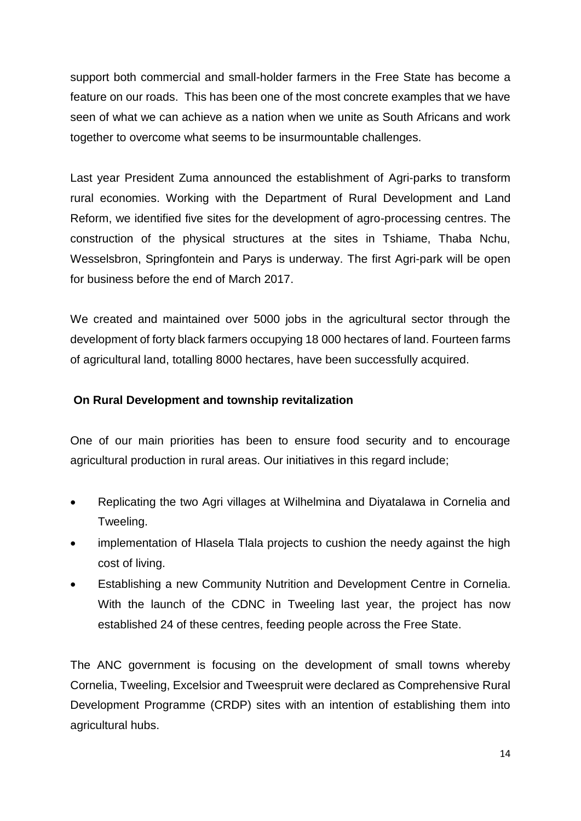support both commercial and small-holder farmers in the Free State has become a feature on our roads. This has been one of the most concrete examples that we have seen of what we can achieve as a nation when we unite as South Africans and work together to overcome what seems to be insurmountable challenges.

Last year President Zuma announced the establishment of Agri-parks to transform rural economies. Working with the Department of Rural Development and Land Reform, we identified five sites for the development of agro-processing centres. The construction of the physical structures at the sites in Tshiame, Thaba Nchu, Wesselsbron, Springfontein and Parys is underway. The first Agri-park will be open for business before the end of March 2017.

We created and maintained over 5000 jobs in the agricultural sector through the development of forty black farmers occupying 18 000 hectares of land. Fourteen farms of agricultural land, totalling 8000 hectares, have been successfully acquired.

### **On Rural Development and township revitalization**

One of our main priorities has been to ensure food security and to encourage agricultural production in rural areas. Our initiatives in this regard include;

- Replicating the two Agri villages at Wilhelmina and Diyatalawa in Cornelia and Tweeling.
- implementation of Hlasela Tlala projects to cushion the needy against the high cost of living.
- Establishing a new Community Nutrition and Development Centre in Cornelia. With the launch of the CDNC in Tweeling last year, the project has now established 24 of these centres, feeding people across the Free State.

The ANC government is focusing on the development of small towns whereby Cornelia, Tweeling, Excelsior and Tweespruit were declared as Comprehensive Rural Development Programme (CRDP) sites with an intention of establishing them into agricultural hubs.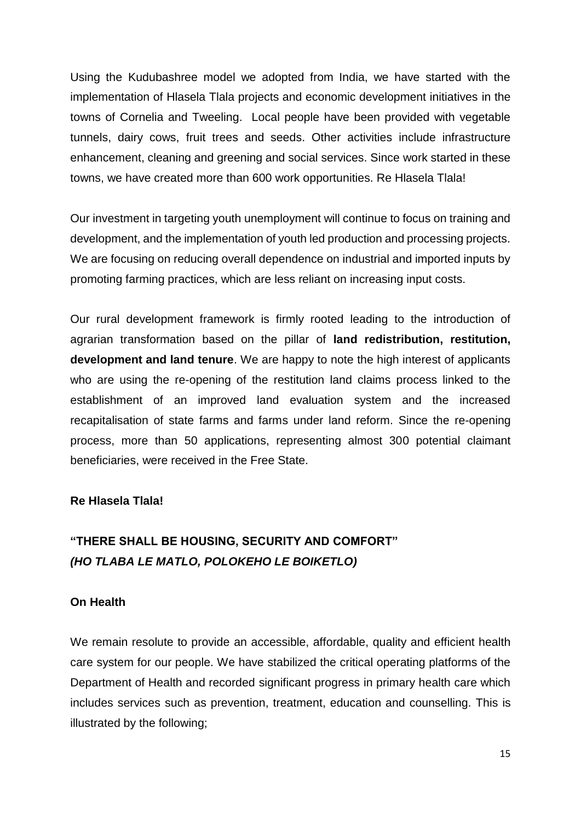Using the Kudubashree model we adopted from India, we have started with the implementation of Hlasela Tlala projects and economic development initiatives in the towns of Cornelia and Tweeling. Local people have been provided with vegetable tunnels, dairy cows, fruit trees and seeds. Other activities include infrastructure enhancement, cleaning and greening and social services. Since work started in these towns, we have created more than 600 work opportunities. Re Hlasela Tlala!

Our investment in targeting youth unemployment will continue to focus on training and development, and the implementation of youth led production and processing projects. We are focusing on reducing overall dependence on industrial and imported inputs by promoting farming practices, which are less reliant on increasing input costs.

Our rural development framework is firmly rooted leading to the introduction of agrarian transformation based on the pillar of **land redistribution, restitution, development and land tenure**. We are happy to note the high interest of applicants who are using the re-opening of the restitution land claims process linked to the establishment of an improved land evaluation system and the increased recapitalisation of state farms and farms under land reform. Since the re-opening process, more than 50 applications, representing almost 300 potential claimant beneficiaries, were received in the Free State.

#### **Re Hlasela Tlala!**

## **"THERE SHALL BE HOUSING, SECURITY AND COMFORT"** *(HO TLABA LE MATLO, POLOKEHO LE BOIKETLO)*

#### **On Health**

We remain resolute to provide an accessible, affordable, quality and efficient health care system for our people. We have stabilized the critical operating platforms of the Department of Health and recorded significant progress in primary health care which includes services such as prevention, treatment, education and counselling. This is illustrated by the following;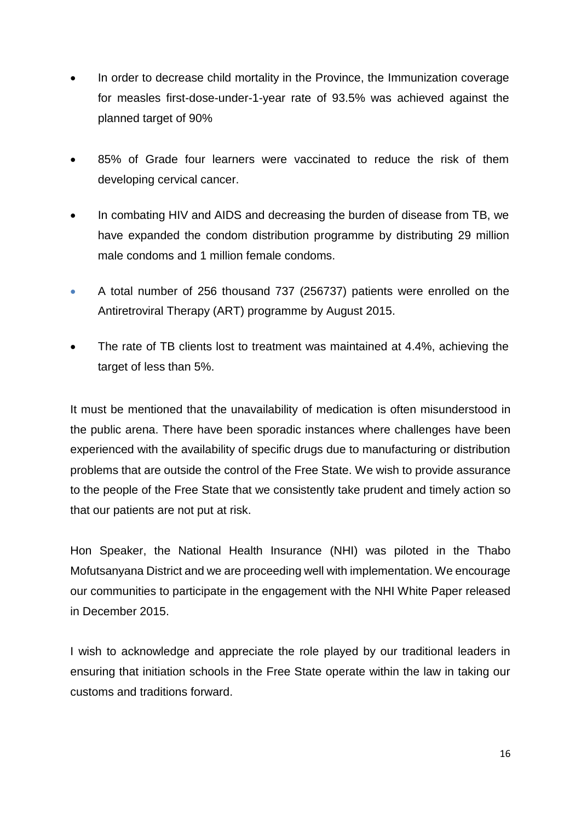- In order to decrease child mortality in the Province, the Immunization coverage for measles first-dose-under-1-year rate of 93.5% was achieved against the planned target of 90%
- 85% of Grade four learners were vaccinated to reduce the risk of them developing cervical cancer.
- In combating HIV and AIDS and decreasing the burden of disease from TB, we have expanded the condom distribution programme by distributing 29 million male condoms and 1 million female condoms.
- A total number of 256 thousand 737 (256737) patients were enrolled on the Antiretroviral Therapy (ART) programme by August 2015.
- The rate of TB clients lost to treatment was maintained at 4.4%, achieving the target of less than 5%.

It must be mentioned that the unavailability of medication is often misunderstood in the public arena. There have been sporadic instances where challenges have been experienced with the availability of specific drugs due to manufacturing or distribution problems that are outside the control of the Free State. We wish to provide assurance to the people of the Free State that we consistently take prudent and timely action so that our patients are not put at risk.

Hon Speaker, the National Health Insurance (NHI) was piloted in the Thabo Mofutsanyana District and we are proceeding well with implementation. We encourage our communities to participate in the engagement with the NHI White Paper released in December 2015.

I wish to acknowledge and appreciate the role played by our traditional leaders in ensuring that initiation schools in the Free State operate within the law in taking our customs and traditions forward.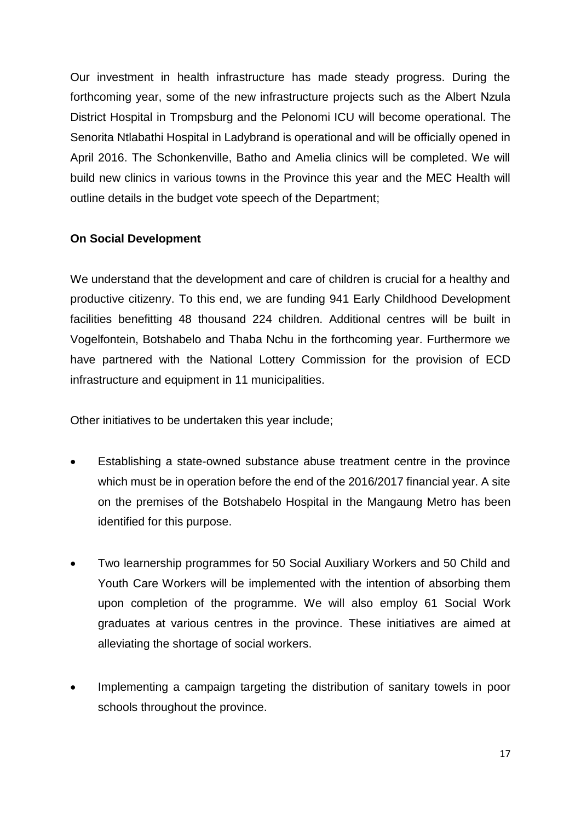Our investment in health infrastructure has made steady progress. During the forthcoming year, some of the new infrastructure projects such as the Albert Nzula District Hospital in Trompsburg and the Pelonomi ICU will become operational. The Senorita Ntlabathi Hospital in Ladybrand is operational and will be officially opened in April 2016. The Schonkenville, Batho and Amelia clinics will be completed. We will build new clinics in various towns in the Province this year and the MEC Health will outline details in the budget vote speech of the Department;

#### **On Social Development**

We understand that the development and care of children is crucial for a healthy and productive citizenry. To this end, we are funding 941 Early Childhood Development facilities benefitting 48 thousand 224 children. Additional centres will be built in Vogelfontein, Botshabelo and Thaba Nchu in the forthcoming year. Furthermore we have partnered with the National Lottery Commission for the provision of ECD infrastructure and equipment in 11 municipalities.

Other initiatives to be undertaken this year include;

- Establishing a state-owned substance abuse treatment centre in the province which must be in operation before the end of the 2016/2017 financial year. A site on the premises of the Botshabelo Hospital in the Mangaung Metro has been identified for this purpose.
- Two learnership programmes for 50 Social Auxiliary Workers and 50 Child and Youth Care Workers will be implemented with the intention of absorbing them upon completion of the programme. We will also employ 61 Social Work graduates at various centres in the province. These initiatives are aimed at alleviating the shortage of social workers.
- Implementing a campaign targeting the distribution of sanitary towels in poor schools throughout the province.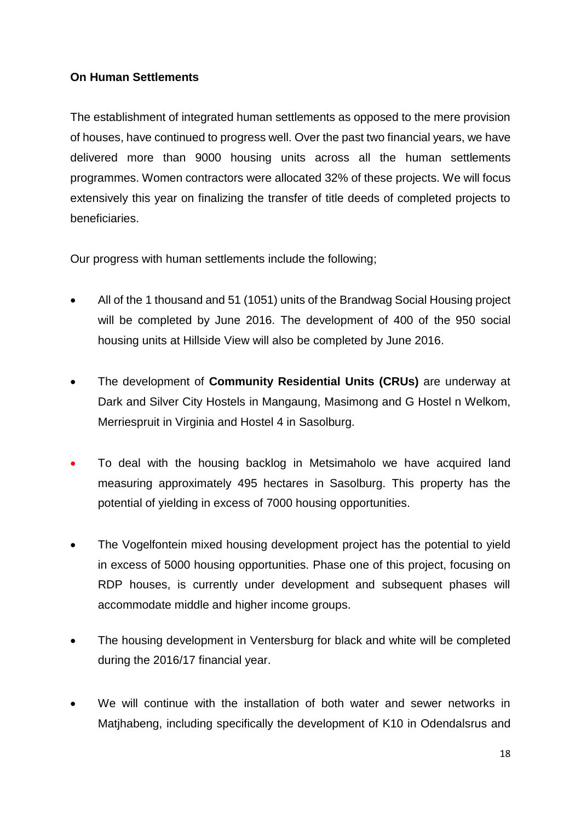### **On Human Settlements**

The establishment of integrated human settlements as opposed to the mere provision of houses, have continued to progress well. Over the past two financial years, we have delivered more than 9000 housing units across all the human settlements programmes. Women contractors were allocated 32% of these projects. We will focus extensively this year on finalizing the transfer of title deeds of completed projects to beneficiaries.

Our progress with human settlements include the following;

- All of the 1 thousand and 51 (1051) units of the Brandwag Social Housing project will be completed by June 2016. The development of 400 of the 950 social housing units at Hillside View will also be completed by June 2016.
- The development of **Community Residential Units (CRUs)** are underway at Dark and Silver City Hostels in Mangaung, Masimong and G Hostel n Welkom, Merriespruit in Virginia and Hostel 4 in Sasolburg.
- To deal with the housing backlog in Metsimaholo we have acquired land measuring approximately 495 hectares in Sasolburg. This property has the potential of yielding in excess of 7000 housing opportunities.
- The Vogelfontein mixed housing development project has the potential to yield in excess of 5000 housing opportunities. Phase one of this project, focusing on RDP houses, is currently under development and subsequent phases will accommodate middle and higher income groups.
- The housing development in Ventersburg for black and white will be completed during the 2016/17 financial year.
- We will continue with the installation of both water and sewer networks in Matjhabeng, including specifically the development of K10 in Odendalsrus and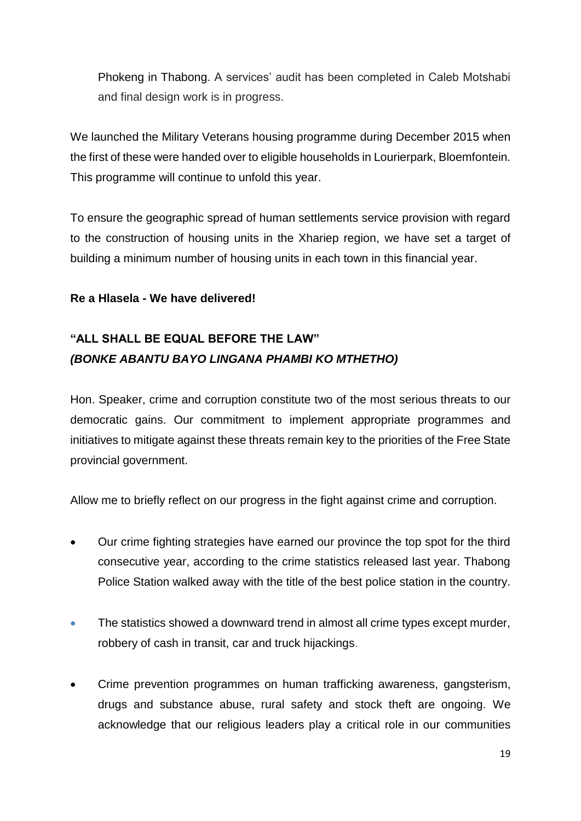Phokeng in Thabong. A services' audit has been completed in Caleb Motshabi and final design work is in progress.

We launched the Military Veterans housing programme during December 2015 when the first of these were handed over to eligible households in Lourierpark, Bloemfontein. This programme will continue to unfold this year.

To ensure the geographic spread of human settlements service provision with regard to the construction of housing units in the Xhariep region, we have set a target of building a minimum number of housing units in each town in this financial year.

#### **Re a Hlasela - We have delivered!**

# **"ALL SHALL BE EQUAL BEFORE THE LAW"** *(BONKE ABANTU BAYO LINGANA PHAMBI KO MTHETHO)*

Hon. Speaker, crime and corruption constitute two of the most serious threats to our democratic gains. Our commitment to implement appropriate programmes and initiatives to mitigate against these threats remain key to the priorities of the Free State provincial government.

Allow me to briefly reflect on our progress in the fight against crime and corruption.

- Our crime fighting strategies have earned our province the top spot for the third consecutive year, according to the crime statistics released last year. Thabong Police Station walked away with the title of the best police station in the country.
- The statistics showed a downward trend in almost all crime types except murder, robbery of cash in transit, car and truck hijackings.
- Crime prevention programmes on human trafficking awareness, gangsterism, drugs and substance abuse, rural safety and stock theft are ongoing. We acknowledge that our religious leaders play a critical role in our communities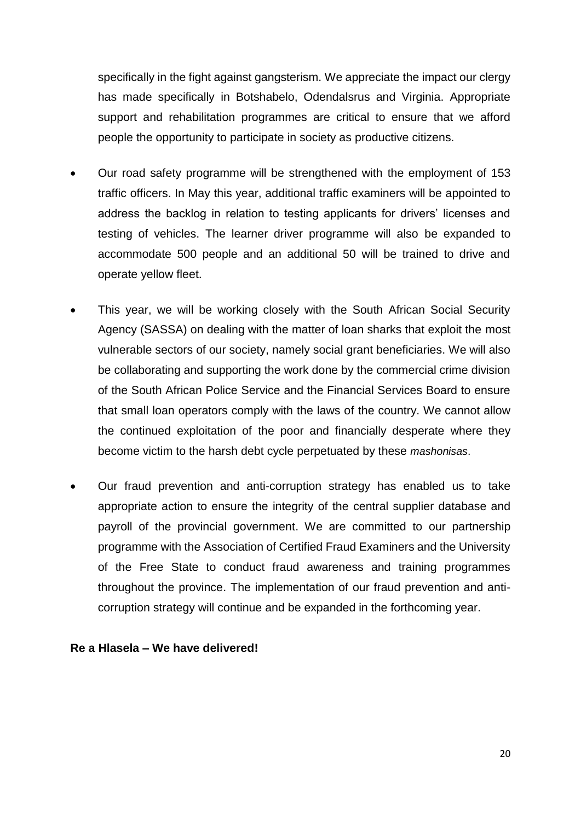specifically in the fight against gangsterism. We appreciate the impact our clergy has made specifically in Botshabelo, Odendalsrus and Virginia. Appropriate support and rehabilitation programmes are critical to ensure that we afford people the opportunity to participate in society as productive citizens.

- Our road safety programme will be strengthened with the employment of 153 traffic officers. In May this year, additional traffic examiners will be appointed to address the backlog in relation to testing applicants for drivers' licenses and testing of vehicles. The learner driver programme will also be expanded to accommodate 500 people and an additional 50 will be trained to drive and operate yellow fleet.
- This year, we will be working closely with the South African Social Security Agency (SASSA) on dealing with the matter of loan sharks that exploit the most vulnerable sectors of our society, namely social grant beneficiaries. We will also be collaborating and supporting the work done by the commercial crime division of the South African Police Service and the Financial Services Board to ensure that small loan operators comply with the laws of the country. We cannot allow the continued exploitation of the poor and financially desperate where they become victim to the harsh debt cycle perpetuated by these *mashonisas*.
- Our fraud prevention and anti-corruption strategy has enabled us to take appropriate action to ensure the integrity of the central supplier database and payroll of the provincial government. We are committed to our partnership programme with the Association of Certified Fraud Examiners and the University of the Free State to conduct fraud awareness and training programmes throughout the province. The implementation of our fraud prevention and anticorruption strategy will continue and be expanded in the forthcoming year.

#### **Re a Hlasela – We have delivered!**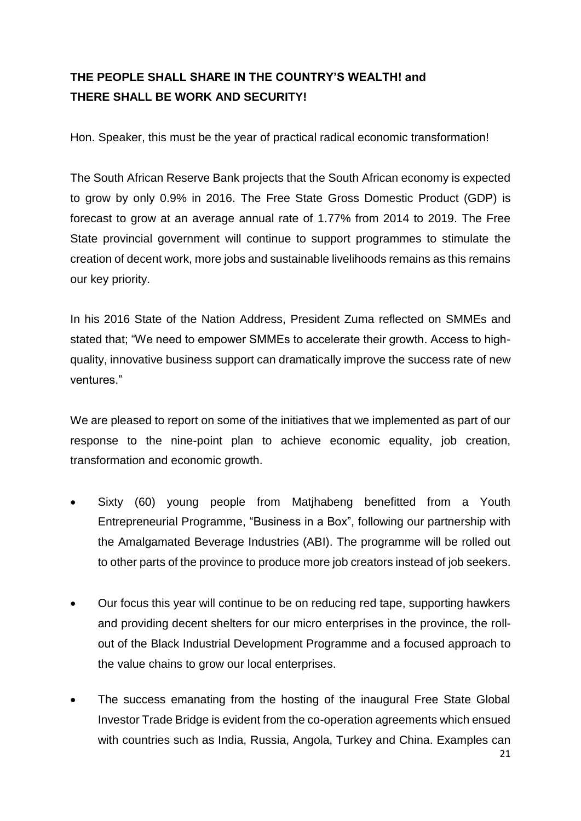## **THE PEOPLE SHALL SHARE IN THE COUNTRY'S WEALTH! and THERE SHALL BE WORK AND SECURITY!**

Hon. Speaker, this must be the year of practical radical economic transformation!

The South African Reserve Bank projects that the South African economy is expected to grow by only 0.9% in 2016. The Free State Gross Domestic Product (GDP) is forecast to grow at an average annual rate of 1.77% from 2014 to 2019. The Free State provincial government will continue to support programmes to stimulate the creation of decent work, more jobs and sustainable livelihoods remains as this remains our key priority.

In his 2016 State of the Nation Address, President Zuma reflected on SMMEs and stated that; "We need to empower SMMEs to accelerate their growth. Access to highquality, innovative business support can dramatically improve the success rate of new ventures."

We are pleased to report on some of the initiatives that we implemented as part of our response to the nine-point plan to achieve economic equality, job creation, transformation and economic growth.

- Sixty (60) young people from Matjhabeng benefitted from a Youth Entrepreneurial Programme, "Business in a Box", following our partnership with the Amalgamated Beverage Industries (ABI). The programme will be rolled out to other parts of the province to produce more job creators instead of job seekers.
- Our focus this year will continue to be on reducing red tape, supporting hawkers and providing decent shelters for our micro enterprises in the province, the rollout of the Black Industrial Development Programme and a focused approach to the value chains to grow our local enterprises.
- The success emanating from the hosting of the inaugural Free State Global Investor Trade Bridge is evident from the co-operation agreements which ensued with countries such as India, Russia, Angola, Turkey and China. Examples can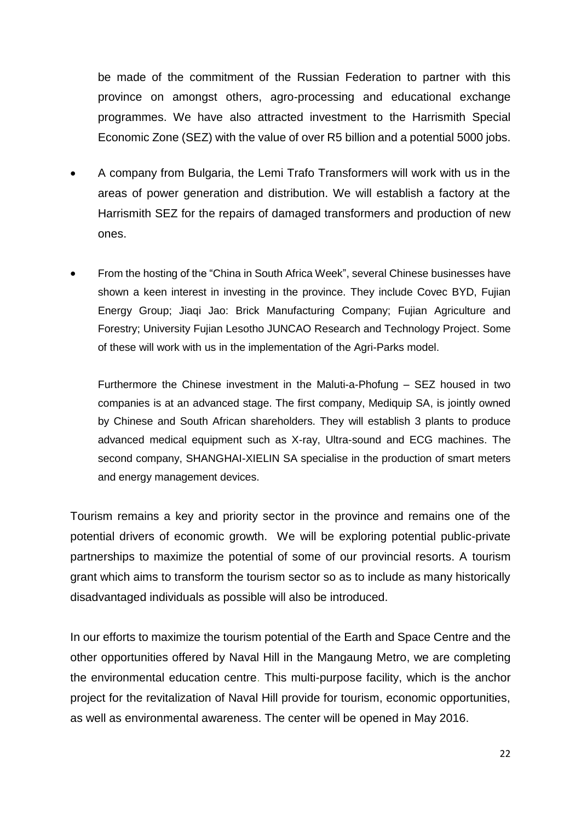be made of the commitment of the Russian Federation to partner with this province on amongst others, agro-processing and educational exchange programmes. We have also attracted investment to the Harrismith Special Economic Zone (SEZ) with the value of over R5 billion and a potential 5000 jobs.

- A company from Bulgaria, the Lemi Trafo Transformers will work with us in the areas of power generation and distribution. We will establish a factory at the Harrismith SEZ for the repairs of damaged transformers and production of new ones.
- From the hosting of the "China in South Africa Week", several Chinese businesses have shown a keen interest in investing in the province. They include Covec BYD, Fujian Energy Group; Jiaqi Jao: Brick Manufacturing Company; Fujian Agriculture and Forestry; University Fujian Lesotho JUNCAO Research and Technology Project. Some of these will work with us in the implementation of the Agri-Parks model.

Furthermore the Chinese investment in the Maluti-a-Phofung – SEZ housed in two companies is at an advanced stage. The first company, Mediquip SA, is jointly owned by Chinese and South African shareholders. They will establish 3 plants to produce advanced medical equipment such as X-ray, Ultra-sound and ECG machines. The second company, SHANGHAI-XIELIN SA specialise in the production of smart meters and energy management devices.

Tourism remains a key and priority sector in the province and remains one of the potential drivers of economic growth. We will be exploring potential public-private partnerships to maximize the potential of some of our provincial resorts. A tourism grant which aims to transform the tourism sector so as to include as many historically disadvantaged individuals as possible will also be introduced.

In our efforts to maximize the tourism potential of the Earth and Space Centre and the other opportunities offered by Naval Hill in the Mangaung Metro, we are completing the environmental education centre. This multi-purpose facility, which is the anchor project for the revitalization of Naval Hill provide for tourism, economic opportunities, as well as environmental awareness. The center will be opened in May 2016.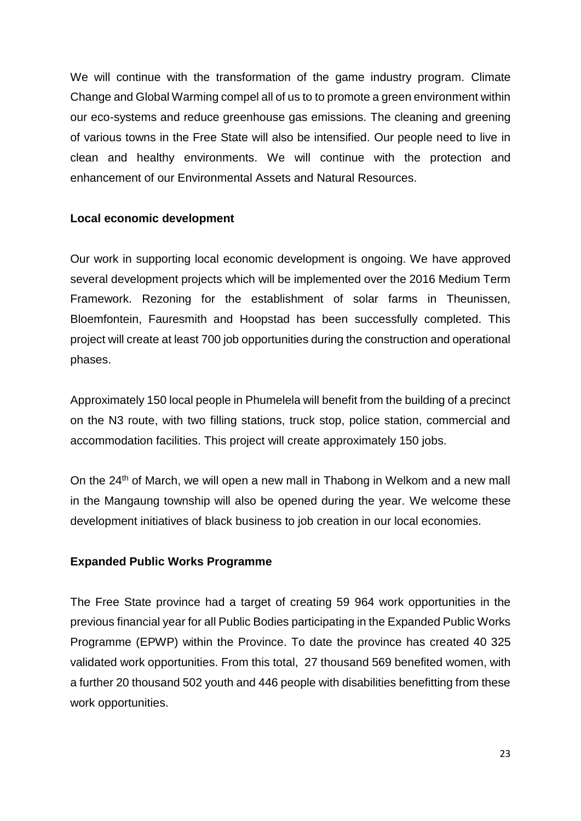We will continue with the transformation of the game industry program. Climate Change and Global Warming compel all of us to to promote a green environment within our eco-systems and reduce greenhouse gas emissions. The cleaning and greening of various towns in the Free State will also be intensified. Our people need to live in clean and healthy environments. We will continue with the protection and enhancement of our Environmental Assets and Natural Resources.

#### **Local economic development**

Our work in supporting local economic development is ongoing. We have approved several development projects which will be implemented over the 2016 Medium Term Framework. Rezoning for the establishment of solar farms in Theunissen, Bloemfontein, Fauresmith and Hoopstad has been successfully completed. This project will create at least 700 job opportunities during the construction and operational phases.

Approximately 150 local people in Phumelela will benefit from the building of a precinct on the N3 route, with two filling stations, truck stop, police station, commercial and accommodation facilities. This project will create approximately 150 jobs.

On the 24<sup>th</sup> of March, we will open a new mall in Thabong in Welkom and a new mall in the Mangaung township will also be opened during the year. We welcome these development initiatives of black business to job creation in our local economies.

#### **Expanded Public Works Programme**

The Free State province had a target of creating 59 964 work opportunities in the previous financial year for all Public Bodies participating in the Expanded Public Works Programme (EPWP) within the Province. To date the province has created 40 325 validated work opportunities. From this total, 27 thousand 569 benefited women, with a further 20 thousand 502 youth and 446 people with disabilities benefitting from these work opportunities.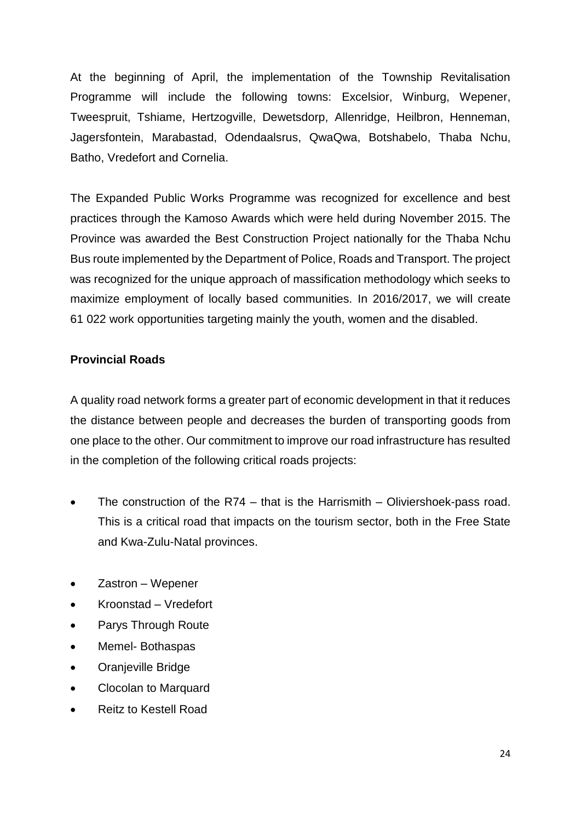At the beginning of April, the implementation of the Township Revitalisation Programme will include the following towns: Excelsior, Winburg, Wepener, Tweespruit, Tshiame, Hertzogville, Dewetsdorp, Allenridge, Heilbron, Henneman, Jagersfontein, Marabastad, Odendaalsrus, QwaQwa, Botshabelo, Thaba Nchu, Batho, Vredefort and Cornelia.

The Expanded Public Works Programme was recognized for excellence and best practices through the Kamoso Awards which were held during November 2015. The Province was awarded the Best Construction Project nationally for the Thaba Nchu Bus route implemented by the Department of Police, Roads and Transport. The project was recognized for the unique approach of massification methodology which seeks to maximize employment of locally based communities. In 2016/2017, we will create 61 022 work opportunities targeting mainly the youth, women and the disabled.

#### **Provincial Roads**

A quality road network forms a greater part of economic development in that it reduces the distance between people and decreases the burden of transporting goods from one place to the other. Our commitment to improve our road infrastructure has resulted in the completion of the following critical roads projects:

- The construction of the R74 that is the Harrismith Oliviershoek-pass road. This is a critical road that impacts on the tourism sector, both in the Free State and Kwa-Zulu-Natal provinces.
- Zastron Wepener
- Kroonstad Vredefort
- Parys Through Route
- Memel- Bothaspas
- Oranjeville Bridge
- Clocolan to Marquard
- Reitz to Kestell Road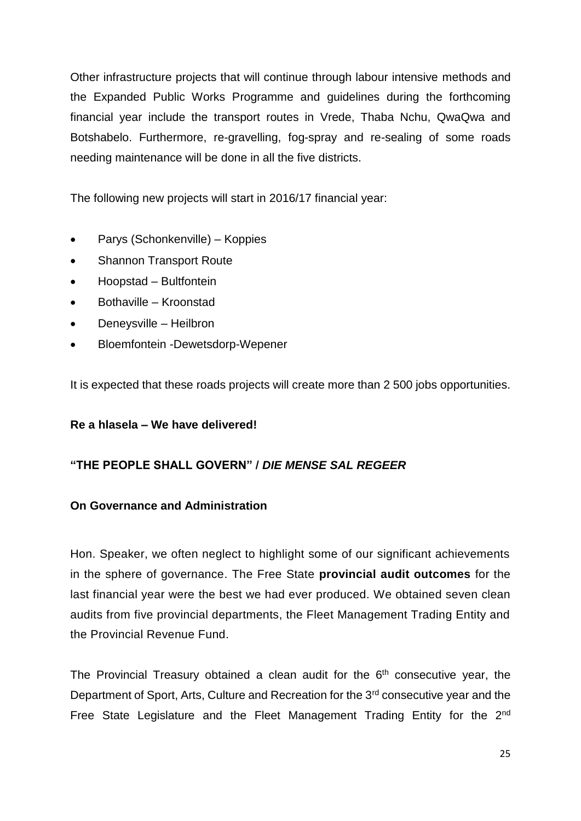Other infrastructure projects that will continue through labour intensive methods and the Expanded Public Works Programme and guidelines during the forthcoming financial year include the transport routes in Vrede, Thaba Nchu, QwaQwa and Botshabelo. Furthermore, re-gravelling, fog-spray and re-sealing of some roads needing maintenance will be done in all the five districts.

The following new projects will start in 2016/17 financial year:

- Parys (Schonkenville) Koppies
- Shannon Transport Route
- Hoopstad Bultfontein
- Bothaville Kroonstad
- Deneysville Heilbron
- Bloemfontein -Dewetsdorp-Wepener

It is expected that these roads projects will create more than 2 500 jobs opportunities.

#### **Re a hlasela – We have delivered!**

#### **"THE PEOPLE SHALL GOVERN" /** *DIE MENSE SAL REGEER*

#### **On Governance and Administration**

Hon. Speaker, we often neglect to highlight some of our significant achievements in the sphere of governance. The Free State **provincial audit outcomes** for the last financial year were the best we had ever produced. We obtained seven clean audits from five provincial departments, the Fleet Management Trading Entity and the Provincial Revenue Fund.

The Provincial Treasury obtained a clean audit for the  $6<sup>th</sup>$  consecutive year, the Department of Sport, Arts, Culture and Recreation for the 3<sup>rd</sup> consecutive year and the Free State Legislature and the Fleet Management Trading Entity for the 2<sup>nd</sup>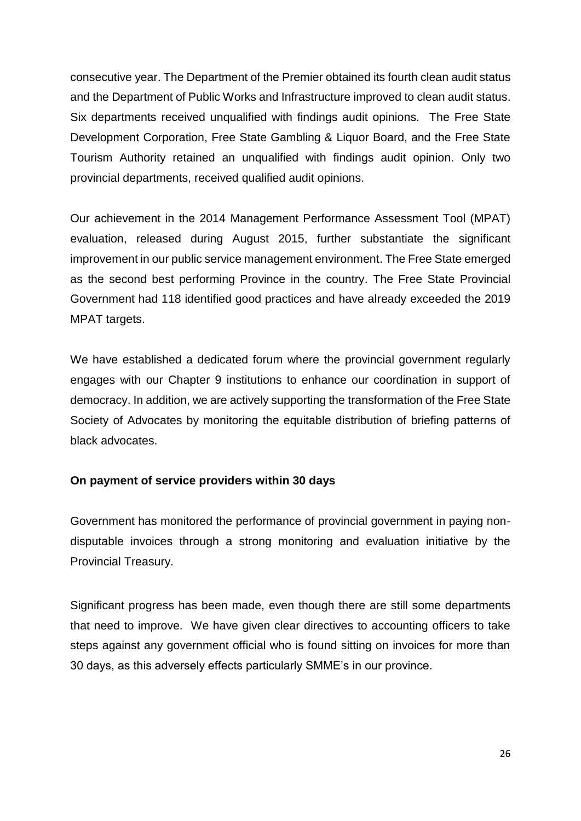consecutive year. The Department of the Premier obtained its fourth clean audit status and the Department of Public Works and Infrastructure improved to clean audit status. Six departments received unqualified with findings audit opinions. The Free State Development Corporation, Free State Gambling & Liquor Board, and the Free State Tourism Authority retained an unqualified with findings audit opinion. Only two provincial departments, received qualified audit opinions.

Our achievement in the 2014 Management Performance Assessment Tool (MPAT) evaluation, released during August 2015, further substantiate the significant improvement in our public service management environment. The Free State emerged as the second best performing Province in the country. The Free State Provincial Government had 118 identified good practices and have already exceeded the 2019 MPAT targets.

We have established a dedicated forum where the provincial government regularly engages with our Chapter 9 institutions to enhance our coordination in support of democracy. In addition, we are actively supporting the transformation of the Free State Society of Advocates by monitoring the equitable distribution of briefing patterns of black advocates.

#### **On payment of service providers within 30 days**

Government has monitored the performance of provincial government in paying nondisputable invoices through a strong monitoring and evaluation initiative by the Provincial Treasury.

Significant progress has been made, even though there are still some departments that need to improve. We have given clear directives to accounting officers to take steps against any government official who is found sitting on invoices for more than 30 days, as this adversely effects particularly SMME's in our province.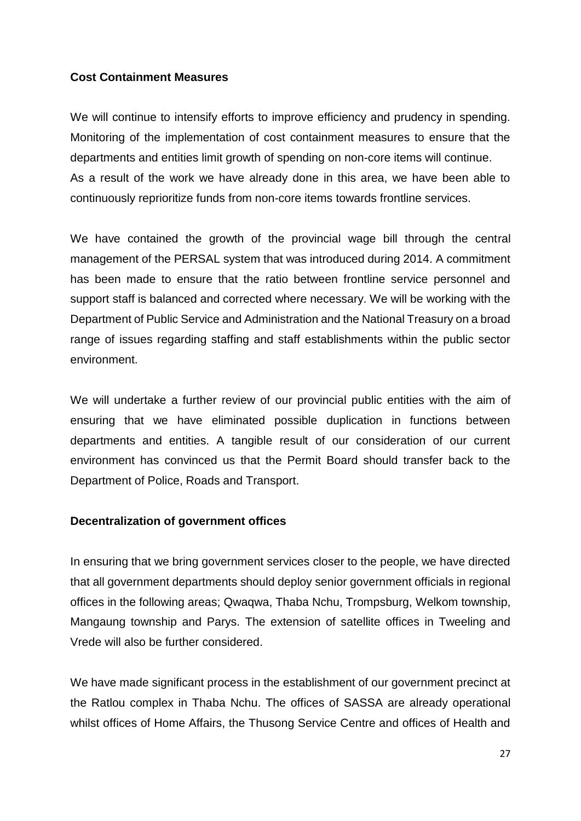#### **Cost Containment Measures**

We will continue to intensify efforts to improve efficiency and prudency in spending. Monitoring of the implementation of cost containment measures to ensure that the departments and entities limit growth of spending on non-core items will continue. As a result of the work we have already done in this area, we have been able to continuously reprioritize funds from non-core items towards frontline services.

We have contained the growth of the provincial wage bill through the central management of the PERSAL system that was introduced during 2014. A commitment has been made to ensure that the ratio between frontline service personnel and support staff is balanced and corrected where necessary. We will be working with the Department of Public Service and Administration and the National Treasury on a broad range of issues regarding staffing and staff establishments within the public sector environment.

We will undertake a further review of our provincial public entities with the aim of ensuring that we have eliminated possible duplication in functions between departments and entities. A tangible result of our consideration of our current environment has convinced us that the Permit Board should transfer back to the Department of Police, Roads and Transport.

#### **Decentralization of government offices**

In ensuring that we bring government services closer to the people, we have directed that all government departments should deploy senior government officials in regional offices in the following areas; Qwaqwa, Thaba Nchu, Trompsburg, Welkom township, Mangaung township and Parys. The extension of satellite offices in Tweeling and Vrede will also be further considered.

We have made significant process in the establishment of our government precinct at the Ratlou complex in Thaba Nchu. The offices of SASSA are already operational whilst offices of Home Affairs, the Thusong Service Centre and offices of Health and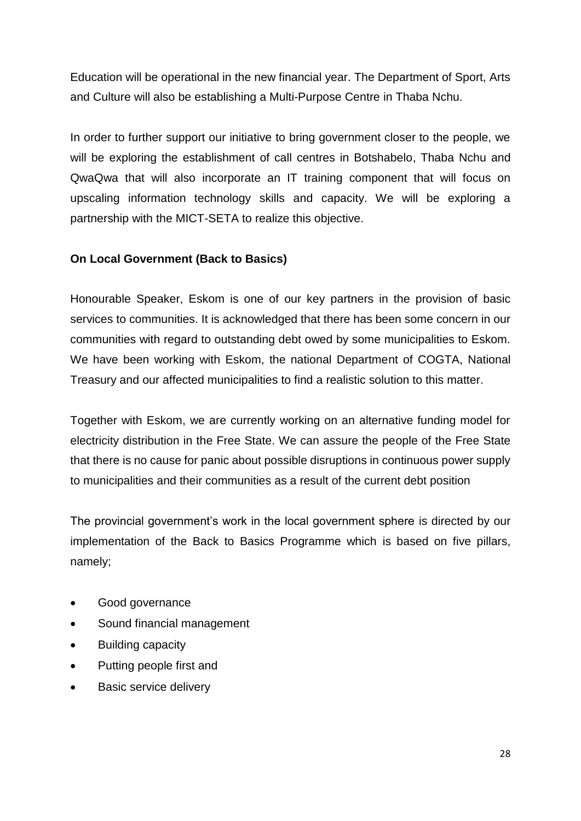Education will be operational in the new financial year. The Department of Sport, Arts and Culture will also be establishing a Multi-Purpose Centre in Thaba Nchu.

In order to further support our initiative to bring government closer to the people, we will be exploring the establishment of call centres in Botshabelo, Thaba Nchu and QwaQwa that will also incorporate an IT training component that will focus on upscaling information technology skills and capacity. We will be exploring a partnership with the MICT-SETA to realize this objective.

#### **On Local Government (Back to Basics)**

Honourable Speaker, Eskom is one of our key partners in the provision of basic services to communities. It is acknowledged that there has been some concern in our communities with regard to outstanding debt owed by some municipalities to Eskom. We have been working with Eskom, the national Department of COGTA, National Treasury and our affected municipalities to find a realistic solution to this matter.

Together with Eskom, we are currently working on an alternative funding model for electricity distribution in the Free State. We can assure the people of the Free State that there is no cause for panic about possible disruptions in continuous power supply to municipalities and their communities as a result of the current debt position

The provincial government's work in the local government sphere is directed by our implementation of the Back to Basics Programme which is based on five pillars, namely;

- Good governance
- Sound financial management
- Building capacity
- Putting people first and
- Basic service delivery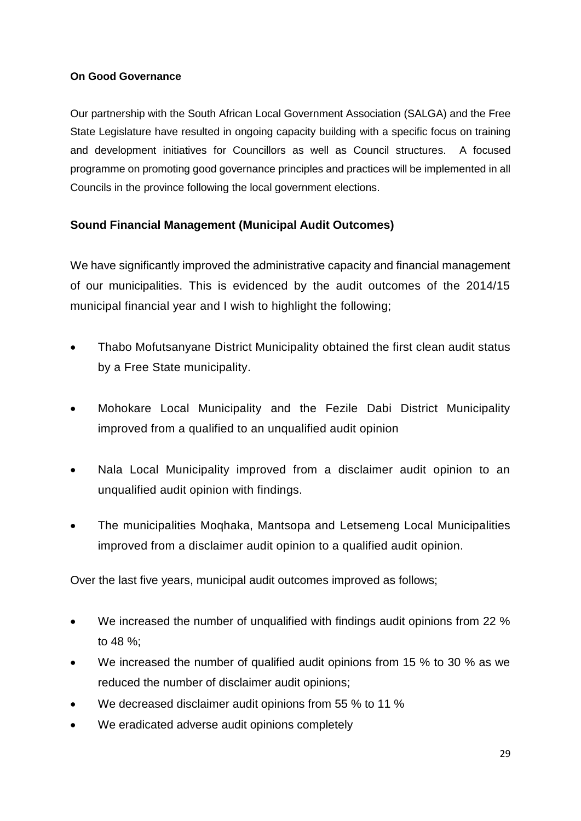#### **On Good Governance**

Our partnership with the South African Local Government Association (SALGA) and the Free State Legislature have resulted in ongoing capacity building with a specific focus on training and development initiatives for Councillors as well as Council structures. A focused programme on promoting good governance principles and practices will be implemented in all Councils in the province following the local government elections.

### **Sound Financial Management (Municipal Audit Outcomes)**

We have significantly improved the administrative capacity and financial management of our municipalities. This is evidenced by the audit outcomes of the 2014/15 municipal financial year and I wish to highlight the following;

- Thabo Mofutsanyane District Municipality obtained the first clean audit status by a Free State municipality.
- Mohokare Local Municipality and the Fezile Dabi District Municipality improved from a qualified to an unqualified audit opinion
- Nala Local Municipality improved from a disclaimer audit opinion to an unqualified audit opinion with findings.
- The municipalities Moqhaka, Mantsopa and Letsemeng Local Municipalities improved from a disclaimer audit opinion to a qualified audit opinion.

Over the last five years, municipal audit outcomes improved as follows;

- We increased the number of unqualified with findings audit opinions from 22 % to 48 %;
- We increased the number of qualified audit opinions from 15 % to 30 % as we reduced the number of disclaimer audit opinions;
- We decreased disclaimer audit opinions from 55 % to 11 %
- We eradicated adverse audit opinions completely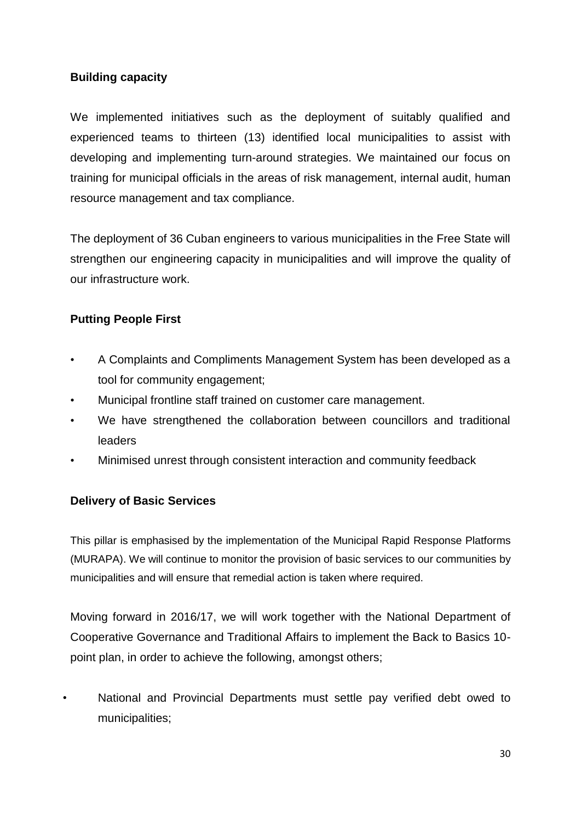### **Building capacity**

We implemented initiatives such as the deployment of suitably qualified and experienced teams to thirteen (13) identified local municipalities to assist with developing and implementing turn-around strategies. We maintained our focus on training for municipal officials in the areas of risk management, internal audit, human resource management and tax compliance.

The deployment of 36 Cuban engineers to various municipalities in the Free State will strengthen our engineering capacity in municipalities and will improve the quality of our infrastructure work.

### **Putting People First**

- A Complaints and Compliments Management System has been developed as a tool for community engagement;
- Municipal frontline staff trained on customer care management.
- We have strengthened the collaboration between councillors and traditional leaders
- Minimised unrest through consistent interaction and community feedback

#### **Delivery of Basic Services**

This pillar is emphasised by the implementation of the Municipal Rapid Response Platforms (MURAPA). We will continue to monitor the provision of basic services to our communities by municipalities and will ensure that remedial action is taken where required.

Moving forward in 2016/17, we will work together with the National Department of Cooperative Governance and Traditional Affairs to implement the Back to Basics 10 point plan, in order to achieve the following, amongst others;

• National and Provincial Departments must settle pay verified debt owed to municipalities;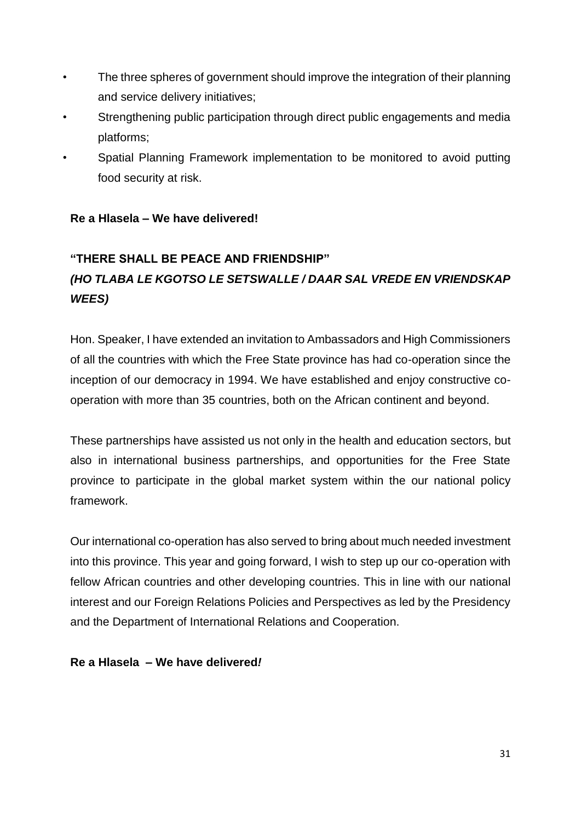- The three spheres of government should improve the integration of their planning and service delivery initiatives;
- Strengthening public participation through direct public engagements and media platforms;
- Spatial Planning Framework implementation to be monitored to avoid putting food security at risk.

#### **Re a Hlasela – We have delivered!**

# **"THERE SHALL BE PEACE AND FRIENDSHIP"**  *(HO TLABA LE KGOTSO LE SETSWALLE / DAAR SAL VREDE EN VRIENDSKAP WEES)*

Hon. Speaker, I have extended an invitation to Ambassadors and High Commissioners of all the countries with which the Free State province has had co-operation since the inception of our democracy in 1994. We have established and enjoy constructive cooperation with more than 35 countries, both on the African continent and beyond.

These partnerships have assisted us not only in the health and education sectors, but also in international business partnerships, and opportunities for the Free State province to participate in the global market system within the our national policy framework.

Our international co-operation has also served to bring about much needed investment into this province. This year and going forward, I wish to step up our co-operation with fellow African countries and other developing countries. This in line with our national interest and our Foreign Relations Policies and Perspectives as led by the Presidency and the Department of International Relations and Cooperation.

#### **Re a Hlasela – We have delivered***!*